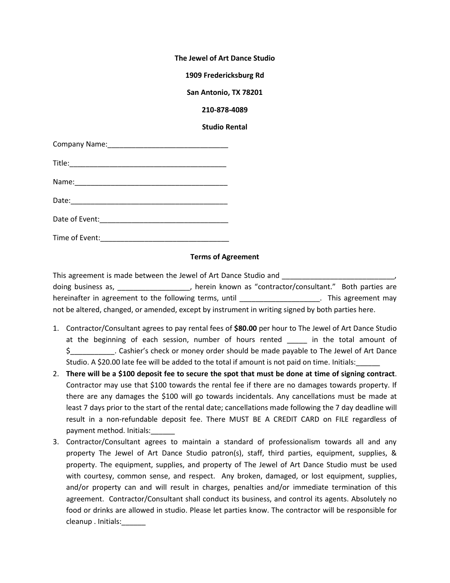**The Jewel of Art Dance Studio**

**1909 Fredericksburg Rd**

**San Antonio, TX 78201**

**210-878-4089**

**Studio Rental**

## **Terms of Agreement**

This agreement is made between the Jewel of Art Dance Studio and doing business as, \_\_\_\_\_\_\_\_\_\_\_\_\_\_\_\_\_\_\_, herein known as "contractor/consultant." Both parties are hereinafter in agreement to the following terms, until \_\_\_\_\_\_\_\_\_\_\_\_\_\_\_\_\_\_\_\_\_\_\_. This agreement may not be altered, changed, or amended, except by instrument in writing signed by both parties here.

- 1. Contractor/Consultant agrees to pay rental fees of **\$80.00** per hour to The Jewel of Art Dance Studio at the beginning of each session, number of hours rented \_\_\_\_\_ in the total amount of \$ 5 Cashier's check or money order should be made payable to The Jewel of Art Dance Studio. A \$20.00 late fee will be added to the total if amount is not paid on time. Initials:
- 2. **There will be a \$100 deposit fee to secure the spot that must be done at time of signing contract**. Contractor may use that \$100 towards the rental fee if there are no damages towards property. If there are any damages the \$100 will go towards incidentals. Any cancellations must be made at least 7 days prior to the start of the rental date; cancellations made following the 7 day deadline will result in a non-refundable deposit fee. There MUST BE A CREDIT CARD on FILE regardless of payment method. Initials:\_\_\_\_\_\_
- 3. Contractor/Consultant agrees to maintain a standard of professionalism towards all and any property The Jewel of Art Dance Studio patron(s), staff, third parties, equipment, supplies, & property. The equipment, supplies, and property of The Jewel of Art Dance Studio must be used with courtesy, common sense, and respect. Any broken, damaged, or lost equipment, supplies, and/or property can and will result in charges, penalties and/or immediate termination of this agreement. Contractor/Consultant shall conduct its business, and control its agents. Absolutely no food or drinks are allowed in studio. Please let parties know. The contractor will be responsible for cleanup . Initials: